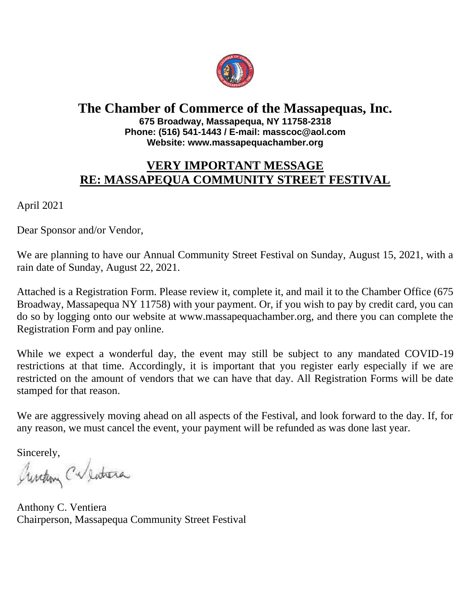

#### **The Chamber of Commerce of the Massapequas, Inc. 675 Broadway, Massapequa, NY 11758-2318 Phone: (516) 541-1443 / E-mail: masscoc@aol.com Website: www.massapequachamber.org**

## **VERY IMPORTANT MESSAGE RE: MASSAPEQUA COMMUNITY STREET FESTIVAL**

April 2021

Dear Sponsor and/or Vendor,

We are planning to have our Annual Community Street Festival on Sunday, August 15, 2021, with a rain date of Sunday, August 22, 2021.

Attached is a Registration Form. Please review it, complete it, and mail it to the Chamber Office (675 Broadway, Massapequa NY 11758) with your payment. Or, if you wish to pay by credit card, you can do so by logging onto our website at www.massapequachamber.org, and there you can complete the Registration Form and pay online.

While we expect a wonderful day, the event may still be subject to any mandated COVID-19 restrictions at that time. Accordingly, it is important that you register early especially if we are restricted on the amount of vendors that we can have that day. All Registration Forms will be date stamped for that reason.

We are aggressively moving ahead on all aspects of the Festival, and look forward to the day. If, for any reason, we must cancel the event, your payment will be refunded as was done last year.

Sincerely,

Aurelion Calendrera

Anthony C. Ventiera Chairperson, Massapequa Community Street Festival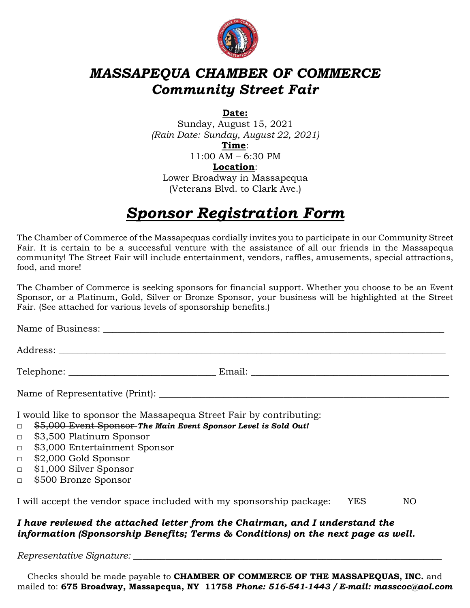

# *MASSAPEQUA CHAMBER OF COMMERCE Community Street Fair*

**Date:**

Sunday, August 15, 2021 *(Rain Date: Sunday, August 22, 2021)*

**Time**:

11:00 AM – 6:30 PM

**Location**:

Lower Broadway in Massapequa (Veterans Blvd. to Clark Ave.)

# *Sponsor Registration Form*

The Chamber of Commerce of the Massapequas cordially invites you to participate in our Community Street Fair. It is certain to be a successful venture with the assistance of all our friends in the Massapequa community! The Street Fair will include entertainment, vendors, raffles, amusements, special attractions, food, and more!

The Chamber of Commerce is seeking sponsors for financial support. Whether you choose to be an Event Sponsor, or a Platinum, Gold, Silver or Bronze Sponsor, your business will be highlighted at the Street Fair. (See attached for various levels of sponsorship benefits.)

Name of Business: \_\_\_\_\_\_\_\_\_\_\_\_\_\_\_\_\_\_\_\_\_\_\_\_\_\_\_\_\_\_\_\_\_\_\_\_\_\_\_\_\_\_\_\_\_\_\_\_\_\_\_\_\_\_\_\_\_\_\_\_\_\_\_\_\_\_\_\_\_\_\_\_\_\_

Address: \_\_\_\_\_\_\_\_\_\_\_\_\_\_\_\_\_\_\_\_\_\_\_\_\_\_\_\_\_\_\_\_\_\_\_\_\_\_\_\_\_\_\_\_\_\_\_\_\_\_\_\_\_\_\_\_\_\_\_\_\_\_\_\_\_\_\_\_\_\_\_\_\_\_\_\_\_\_\_\_\_\_\_\_

Telephone: \_\_\_\_\_\_\_\_\_\_\_\_\_\_\_\_\_\_\_\_\_\_\_\_\_\_\_\_\_\_\_\_ Email: \_\_\_\_\_\_\_\_\_\_\_\_\_\_\_\_\_\_\_\_\_\_\_\_\_\_\_\_\_\_\_\_\_\_\_\_\_\_\_\_\_\_\_

Name of Representative (Print): \_\_\_\_\_\_\_\_\_\_\_\_\_\_\_\_\_\_\_\_\_\_\_\_\_\_\_\_\_\_\_\_\_\_\_\_\_\_\_\_\_\_\_\_\_\_\_\_\_\_\_\_\_\_\_\_\_\_\_\_\_\_\_

I would like to sponsor the Massapequa Street Fair by contributing:

- □ \$5,000 Event Sponsor *The Main Event Sponsor Level is Sold Out!*
- □ \$3,500 Platinum Sponsor
- □ \$3,000 Entertainment Sponsor
- □ \$2,000 Gold Sponsor
- □ \$1,000 Silver Sponsor
- □ \$500 Bronze Sponsor

I will accept the vendor space included with my sponsorship package: YES NO

### *I have reviewed the attached letter from the Chairman, and I understand the information (Sponsorship Benefits; Terms & Conditions) on the next page as well.*

*Representative Signature: \_\_\_\_\_\_\_\_\_\_\_\_\_\_\_\_\_\_\_\_\_\_\_\_\_\_\_\_\_\_\_\_\_\_\_\_\_\_\_\_\_\_\_\_\_\_\_\_\_\_\_\_\_\_\_\_\_\_\_\_\_\_\_\_\_\_\_*

Checks should be made payable to **CHAMBER OF COMMERCE OF THE MASSAPEQUAS, INC.** and mailed to: **675 Broadway, Massapequa, NY 11758** *Phone: 516-541-1443 / E-mail: masscoc@aol.com*